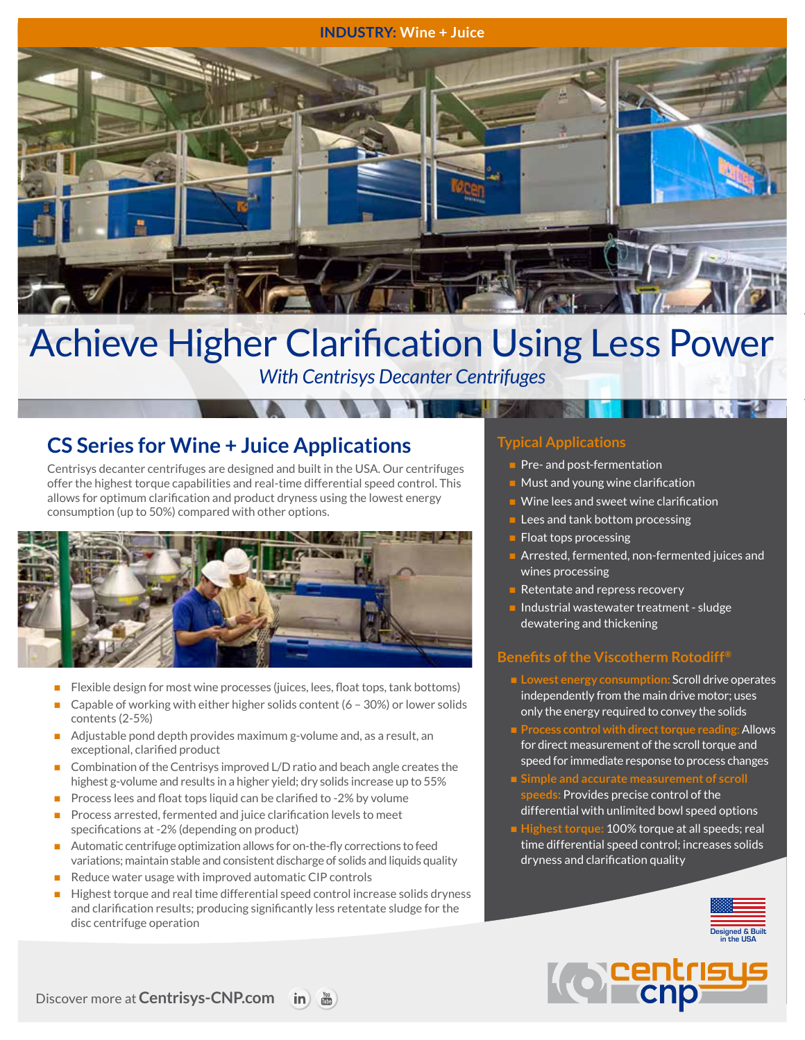#### **INDUSTRY: Wine + Juice**



# Achieve Higher Clarification Using Less Power

*With Centrisys Decanter Centrifuges*

# **CS Series for Wine + Juice Applications**

Centrisys decanter centrifuges are designed and built in the USA. Our centrifuges offer the highest torque capabilities and real-time differential speed control. This allows for optimum clarification and product dryness using the lowest energy consumption (up to 50%) compared with other options.



- Flexible design for most wine processes (juices, lees, float tops, tank bottoms)
- Capable of working with either higher solids content ( $6 30\%$ ) or lower solids contents (2-5%)
- Adjustable pond depth provides maximum g-volume and, as a result, an exceptional, clarified product
- Combination of the Centrisys improved L/D ratio and beach angle creates the highest g-volume and results in a higher yield; dry solids increase up to 55%
- Process lees and float tops liquid can be clarified to -2% by volume
- n Process arrested, fermented and juice clarification levels to meet specifications at -2% (depending on product)
- Automatic centrifuge optimization allows for on-the-fly corrections to feed variations; maintain stable and consistent discharge of solids and liquids quality
- Reduce water usage with improved automatic CIP controls
- Highest torque and real time differential speed control increase solids dryness and clarification results; producing significantly less retentate sludge for the disc centrifuge operation

## **Typical Applications**

- $\blacksquare$  Pre- and post-fermentation
- $\blacksquare$  Must and young wine clarification
- $\blacksquare$  Wine lees and sweet wine clarification
- $\blacksquare$  Lees and tank bottom processing
- $\blacksquare$  Float tops processing
- Arrested, fermented, non-fermented juices and wines processing
- $\blacksquare$  Retentate and repress recovery
- Industrial wastewater treatment sludge dewatering and thickening

### **Benefits of the Viscotherm Rotodiff®**

- n **Lowest energy consumption:** Scroll drive operates independently from the main drive motor; uses only the energy required to convey the solids
- n **Process control with direct torque reading**: Allows for direct measurement of the scroll torque and speed for immediate response to process changes
- **speeds:** Provides precise control of the differential with unlimited bowl speed options
- Highest torque: 100% torque at all speeds; real time differential speed control; increases solids dryness and clarification quality